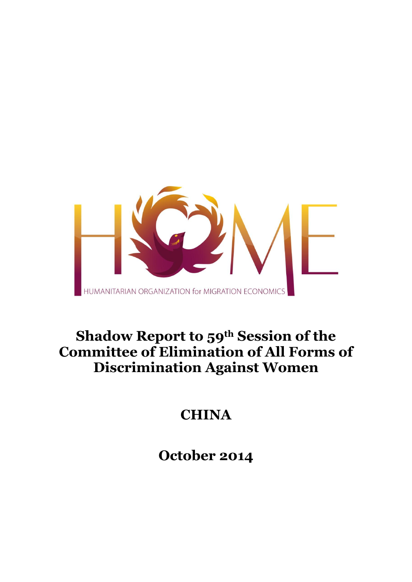

# **Shadow Report to 59th Session of the Committee of Elimination of All Forms of Discrimination Against Women**

# **CHINA**

**October 2014**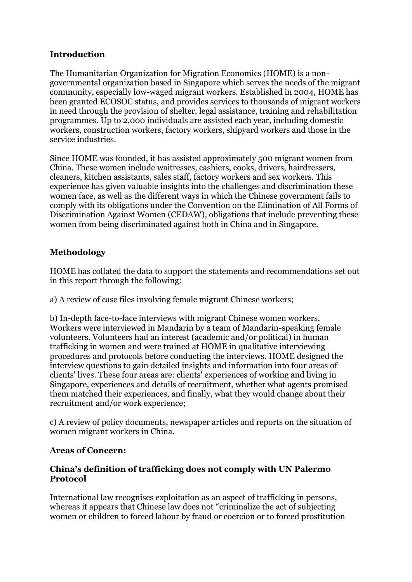## **Introduction**

The Humanitarian Organization for Migration Economics (HOME) is a nongovernmental organization based in Singapore which serves the needs of the migrant community, especially low-waged migrant workers. Established in 2004, HOME has been granted ECOSOC status, and provides services to thousands of migrant workers in need through the provision of shelter, legal assistance, training and rehabilitation programmes. Up to 2,000 individuals are assisted each year, including domestic workers, construction workers, factory workers, shipyard workers and those in the service industries.

Since HOME was founded, it has assisted approximately 500 migrant women from China. These women include waitresses, cashiers, cooks, drivers, hairdressers, cleaners, kitchen assistants, sales staff, factory workers and sex workers. This experience has given valuable insights into the challenges and discrimination these women face, as well as the different ways in which the Chinese government fails to comply with its obligations under the Convention on the Elimination of All Forms of Discrimination Against Women (CEDAW), obligations that include preventing these women from being discriminated against both in China and in Singapore.

## **Methodology**

HOME has collated the data to support the statements and recommendations set out in this report through the following:

a) A review of case files involving female migrant Chinese workers;

b) In-depth face-to-face interviews with migrant Chinese women workers. Workers were interviewed in Mandarin by a team of Mandarin-speaking female volunteers. Volunteers had an interest (academic and/or political) in human trafficking in women and were trained at HOME in qualitative interviewing procedures and protocols before conducting the interviews. HOME designed the interview questions to gain detailed insights and information into four areas of clients' lives. These four areas are: clients' experiences of working and living in Singapore, experiences and details of recruitment, whether what agents promised them matched their experiences, and finally, what they would change about their recruitment and/or work experience;

c) A review of policy documents, newspaper articles and reports on the situation of women migrant workers in China.

### **Areas of Concern:**

#### **China's definition of trafficking does not comply with UN Palermo Protocol**

International law recognises exploitation as an aspect of trafficking in persons, whereas it appears that Chinese law does not "criminalize the act of subjecting women or children to forced labour by fraud or coercion or to forced prostitution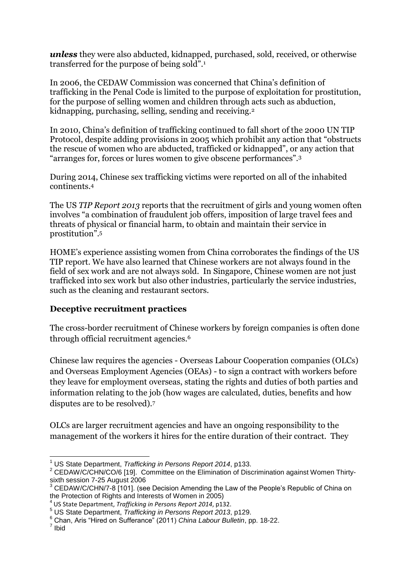*unless* they were also abducted, kidnapped, purchased, sold, received, or otherwise transferred for the purpose of being sold". 1

In 2006, the CEDAW Commission was concerned that China's definition of trafficking in the Penal Code is limited to the purpose of exploitation for prostitution, for the purpose of selling women and children through acts such as abduction, kidnapping, purchasing, selling, sending and receiving.<sup>2</sup>

In 2010, China's definition of trafficking continued to fall short of the 2000 UN TIP Protocol, despite adding provisions in 2005 which prohibit any action that "obstructs the rescue of women who are abducted, trafficked or kidnapped", or any action that "arranges for, forces or lures women to give obscene performances".<sup>3</sup>

During 2014, Chinese sex trafficking victims were reported on all of the inhabited continents.<sup>4</sup>

The US *TIP Report 2013* reports that the recruitment of girls and young women often involves "a combination of fraudulent job offers, imposition of large travel fees and threats of physical or financial harm, to obtain and maintain their service in prostitution". 5

HOME's experience assisting women from China corroborates the findings of the US TIP report. We have also learned that Chinese workers are not always found in the field of sex work and are not always sold. In Singapore, Chinese women are not just trafficked into sex work but also other industries, particularly the service industries, such as the cleaning and restaurant sectors.

### **Deceptive recruitment practices**

The cross-border recruitment of Chinese workers by foreign companies is often done through official recruitment agencies.<sup>6</sup>

Chinese law requires the agencies - Overseas Labour Cooperation companies (OLCs) and Overseas Employment Agencies (OEAs) - to sign a contract with workers before they leave for employment overseas, stating the rights and duties of both parties and information relating to the job (how wages are calculated, duties, benefits and how disputes are to be resolved).<sup>7</sup>

OLCs are larger recruitment agencies and have an ongoing responsibility to the management of the workers it hires for the entire duration of their contract. They

 $\overline{a}$ <sup>1</sup> US State Department, *Trafficking in Persons Report 2014*, p133.

<sup>&</sup>lt;sup>2</sup> CEDAW/C/CHN/CO/6 [19]. Committee on the Elimination of Discrimination against Women Thirtysixth session 7-25 August 2006

 $3$  CEDAW/C/CHN/7-8 [101]. (see Decision Amending the Law of the People's Republic of China on the Protection of Rights and Interests of Women in 2005)

<sup>4</sup> US State Department, *Trafficking in Persons Report 2014*, p132.

<sup>5</sup> US State Department, *Trafficking in Persons Report 2013*, p129.

<sup>6</sup> Chan, Aris "Hired on Sufferance" (2011) *China Labour Bulletin*, pp. 18-22.

<sup>7</sup> Ibid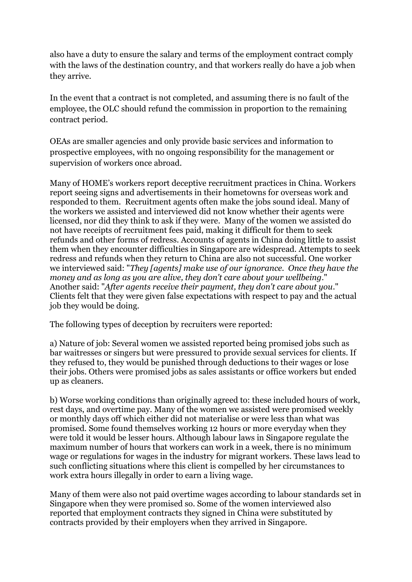also have a duty to ensure the salary and terms of the employment contract comply with the laws of the destination country, and that workers really do have a job when they arrive.

In the event that a contract is not completed, and assuming there is no fault of the employee, the OLC should refund the commission in proportion to the remaining contract period.

OEAs are smaller agencies and only provide basic services and information to prospective employees, with no ongoing responsibility for the management or supervision of workers once abroad.

Many of HOME's workers report deceptive recruitment practices in China. Workers report seeing signs and advertisements in their hometowns for overseas work and responded to them. Recruitment agents often make the jobs sound ideal. Many of the workers we assisted and interviewed did not know whether their agents were licensed, nor did they think to ask if they were. Many of the women we assisted do not have receipts of recruitment fees paid, making it difficult for them to seek refunds and other forms of redress. Accounts of agents in China doing little to assist them when they encounter difficulties in Singapore are widespread. Attempts to seek redress and refunds when they return to China are also not successful. One worker we interviewed said: "*They [agents] make use of our ignorance. Once they have the money and as long as you are alive, they don't care about your wellbeing*." Another said: "*After agents receive their payment, they don't care about you*." Clients felt that they were given false expectations with respect to pay and the actual job they would be doing.

The following types of deception by recruiters were reported:

a) Nature of job: Several women we assisted reported being promised jobs such as bar waitresses or singers but were pressured to provide sexual services for clients. If they refused to, they would be punished through deductions to their wages or lose their jobs. Others were promised jobs as sales assistants or office workers but ended up as cleaners.

b) Worse working conditions than originally agreed to: these included hours of work, rest days, and overtime pay. Many of the women we assisted were promised weekly or monthly days off which either did not materialise or were less than what was promised. Some found themselves working 12 hours or more everyday when they were told it would be lesser hours. Although labour laws in Singapore regulate the maximum number of hours that workers can work in a week, there is no minimum wage or regulations for wages in the industry for migrant workers. These laws lead to such conflicting situations where this client is compelled by her circumstances to work extra hours illegally in order to earn a living wage.

Many of them were also not paid overtime wages according to labour standards set in Singapore when they were promised so. Some of the women interviewed also reported that employment contracts they signed in China were substituted by contracts provided by their employers when they arrived in Singapore.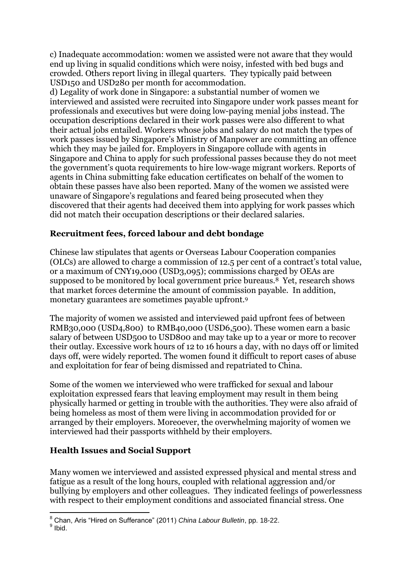c) Inadequate accommodation: women we assisted were not aware that they would end up living in squalid conditions which were noisy, infested with bed bugs and crowded. Others report living in illegal quarters. They typically paid between USD150 and USD280 per month for accommodation.

d) Legality of work done in Singapore: a substantial number of women we interviewed and assisted were recruited into Singapore under work passes meant for professionals and executives but were doing low-paying menial jobs instead. The occupation descriptions declared in their work passes were also different to what their actual jobs entailed. Workers whose jobs and salary do not match the types of work passes issued by Singapore's Ministry of Manpower are committing an offence which they may be jailed for. Employers in Singapore collude with agents in Singapore and China to apply for such professional passes because they do not meet the government's quota requirements to hire low-wage migrant workers. Reports of agents in China submitting fake education certificates on behalf of the women to obtain these passes have also been reported. Many of the women we assisted were unaware of Singapore's regulations and feared being prosecuted when they discovered that their agents had deceived them into applying for work passes which did not match their occupation descriptions or their declared salaries.

### **Recruitment fees, forced labour and debt bondage**

Chinese law stipulates that agents or Overseas Labour Cooperation companies (OLCs) are allowed to charge a commission of 12.5 per cent of a contract's total value, or a maximum of CNY19,000 (USD3,095); commissions charged by OEAs are supposed to be monitored by local government price bureaus.8 Yet, research shows that market forces determine the amount of commission payable. In addition, monetary guarantees are sometimes payable upfront.<sup>9</sup>

The majority of women we assisted and interviewed paid upfront fees of between RMB30,000 (USD4,800) to RMB40,000 (USD6,500). These women earn a basic salary of between USD500 to USD800 and may take up to a year or more to recover their outlay. Excessive work hours of 12 to 16 hours a day, with no days off or limited days off, were widely reported. The women found it difficult to report cases of abuse and exploitation for fear of being dismissed and repatriated to China.

Some of the women we interviewed who were trafficked for sexual and labour exploitation expressed fears that leaving employment may result in them being physically harmed or getting in trouble with the authorities. They were also afraid of being homeless as most of them were living in accommodation provided for or arranged by their employers. Moreoever, the overwhelming majority of women we interviewed had their passports withheld by their employers.

### **Health Issues and Social Support**

Many women we interviewed and assisted expressed physical and mental stress and fatigue as a result of the long hours, coupled with relational aggression and/or bullying by employers and other colleagues. They indicated feelings of powerlessness with respect to their employment conditions and associated financial stress. One

**<sup>.</sup>** <sup>8</sup> Chan, Aris "Hired on Sufferance" (2011) *China Labour Bulletin*, pp. 18-22.

<sup>&</sup>lt;sup>9</sup> Ibid.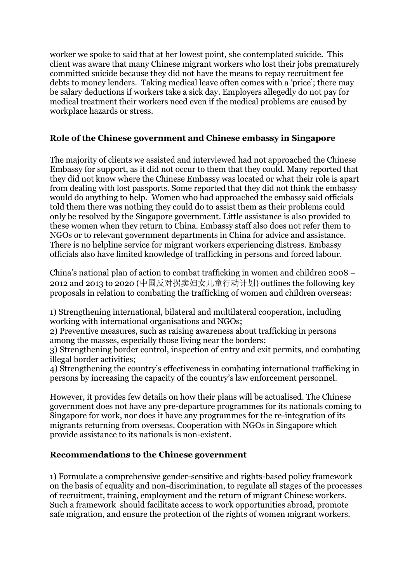worker we spoke to said that at her lowest point, she contemplated suicide. This client was aware that many Chinese migrant workers who lost their jobs prematurely committed suicide because they did not have the means to repay recruitment fee debts to money lenders. Taking medical leave often comes with a 'price'; there may be salary deductions if workers take a sick day. Employers allegedly do not pay for medical treatment their workers need even if the medical problems are caused by workplace hazards or stress.

### **Role of the Chinese government and Chinese embassy in Singapore**

The majority of clients we assisted and interviewed had not approached the Chinese Embassy for support, as it did not occur to them that they could. Many reported that they did not know where the Chinese Embassy was located or what their role is apart from dealing with lost passports. Some reported that they did not think the embassy would do anything to help. Women who had approached the embassy said officials told them there was nothing they could do to assist them as their problems could only be resolved by the Singapore government. Little assistance is also provided to these women when they return to China. Embassy staff also does not refer them to NGOs or to relevant government departments in China for advice and assistance. There is no helpline service for migrant workers experiencing distress. Embassy officials also have limited knowledge of trafficking in persons and forced labour.

China's national plan of action to combat trafficking in women and children 2008 – 2012 and 2013 to 2020 (中国反对拐卖妇女儿童行动计划) outlines the following key proposals in relation to combating the trafficking of women and children overseas:

1) Strengthening international, bilateral and multilateral cooperation, including working with international organisations and NGOs;

2) Preventive measures, such as raising awareness about trafficking in persons among the masses, especially those living near the borders;

3) Strengthening border control, inspection of entry and exit permits, and combating illegal border activities;

4) Strengthening the country's effectiveness in combating international trafficking in persons by increasing the capacity of the country's law enforcement personnel.

However, it provides few details on how their plans will be actualised. The Chinese government does not have any pre-departure programmes for its nationals coming to Singapore for work, nor does it have any programmes for the re-integration of its migrants returning from overseas. Cooperation with NGOs in Singapore which provide assistance to its nationals is non-existent.

### **Recommendations to the Chinese government**

1) Formulate a comprehensive gender-sensitive and rights-based policy framework on the basis of equality and non-discrimination, to regulate all stages of the processes of recruitment, training, employment and the return of migrant Chinese workers. Such a framework should facilitate access to work opportunities abroad, promote safe migration, and ensure the protection of the rights of women migrant workers.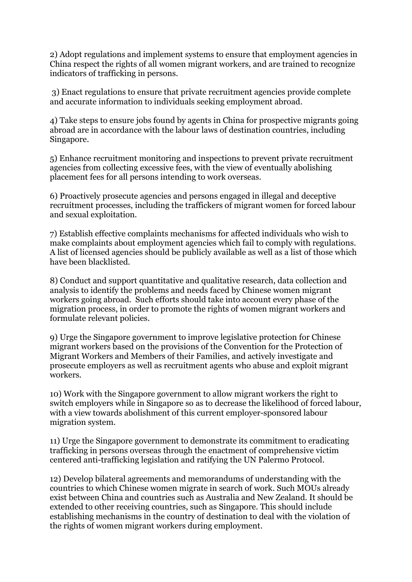2) Adopt regulations and implement systems to ensure that employment agencies in China respect the rights of all women migrant workers, and are trained to recognize indicators of trafficking in persons.

3) Enact regulations to ensure that private recruitment agencies provide complete and accurate information to individuals seeking employment abroad.

4) Take steps to ensure jobs found by agents in China for prospective migrants going abroad are in accordance with the labour laws of destination countries, including Singapore.

5) Enhance recruitment monitoring and inspections to prevent private recruitment agencies from collecting excessive fees, with the view of eventually abolishing placement fees for all persons intending to work overseas.

6) Proactively prosecute agencies and persons engaged in illegal and deceptive recruitment processes, including the traffickers of migrant women for forced labour and sexual exploitation.

7) Establish effective complaints mechanisms for affected individuals who wish to make complaints about employment agencies which fail to comply with regulations. A list of licensed agencies should be publicly available as well as a list of those which have been blacklisted.

8) Conduct and support quantitative and qualitative research, data collection and analysis to identify the problems and needs faced by Chinese women migrant workers going abroad. Such efforts should take into account every phase of the migration process, in order to promote the rights of women migrant workers and formulate relevant policies.

9) Urge the Singapore government to improve legislative protection for Chinese migrant workers based on the provisions of the Convention for the Protection of Migrant Workers and Members of their Families, and actively investigate and prosecute employers as well as recruitment agents who abuse and exploit migrant workers.

10) Work with the Singapore government to allow migrant workers the right to switch employers while in Singapore so as to decrease the likelihood of forced labour, with a view towards abolishment of this current employer-sponsored labour migration system.

11) Urge the Singapore government to demonstrate its commitment to eradicating trafficking in persons overseas through the enactment of comprehensive victim centered anti-trafficking legislation and ratifying the UN Palermo Protocol.

12) Develop bilateral agreements and memorandums of understanding with the countries to which Chinese women migrate in search of work. Such MOUs already exist between China and countries such as Australia and New Zealand. It should be extended to other receiving countries, such as Singapore. This should include establishing mechanisms in the country of destination to deal with the violation of the rights of women migrant workers during employment.